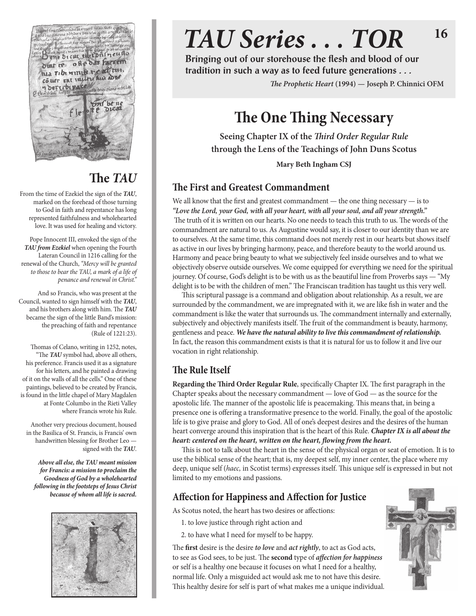

# **The** *TAU*

From the time of Ezekiel the sign of the *TAU*, marked on the forehead of those turning to God in faith and repentance has long represented faithfulness and wholehearted love. It was used for healing and victory.

Pope Innocent III, envoked the sign of the *TAU from Ezekiel* when opening the Fourth Lateran Council in 1216 calling for the renewal of the Church, *"Mercy will be granted to those to bear the TAU, a mark of a life of penance and renewal in Christ."*

And so Francis, who was present at the Council, wanted to sign himself with the *TAU*, and his brothers along with him. The *TAU* became the sign of the little Band's mission: the preaching of faith and repentance (Rule of 1221:23).

Thomas of Celano, writing in 1252, notes, "The *TAU* symbol had, above all others, his preference. Francis used it as a signature for his letters, and he painted a drawing of it on the walls of all the cells." One of these paintings, believed to be created by Francis, is found in the little chapel of Mary Magdalen at Fonte Columbo in the Rieti Valley where Francis wrote his Rule.

Another very precious document, housed in the Basilica of St. Francis, is Francis' own handwritten blessing for Brother Leo signed with the *TAU*.

*Above all else, the TAU meant mission for Francis: a mission to proclaim the Goodness of God by a wholehearted following in the footsteps of Jesus Christ because of whom all life is sacred.*



## *TAU Series . . . TOR* **16**

**Bringing out of our storehouse the flesh and blood of our tradition in such a way as to feed future generations . . .**

*The Prophetic Heart* **(1994) — Joseph P. Chinnici OFM**

## **The One Thing Necessary**

**Seeing Chapter IX of the** *Third Order Regular Rule* **through the Lens of the Teachings of John Duns Scotus**

**Mary Beth Ingham CSJ**

#### **The First and Greatest Commandment**

We all know that the first and greatest commandment — the one thing necessary — is to *"Love the Lord, your God, with all your heart, with all your soul, and all your strength."* The truth of it is written on our hearts. No one needs to teach this truth to us. The words of the commandment are natural to us. As Augustine would say, it is closer to our identity than we are to ourselves. At the same time, this command does not merely rest in our hearts but shows itself as active in our lives by bringing harmony, peace, and therefore beauty to the world around us. Harmony and peace bring beauty to what we subjectively feel inside ourselves and to what we objectively observe outside ourselves. We come equipped for everything we need for the spiritual journey. Of course, God's delight is to be with us as the beautiful line from Proverbs says — "My delight is to be with the children of men." The Franciscan tradition has taught us this very well.

This scriptural passage is a command and obligation about relationship. As a result, we are surrounded by the commandment, we are impregnated with it, we are like fish in water and the commandment is like the water that surrounds us. The commandment internally and externally, subjectively and objectively manifests itself. The fruit of the commandment is beauty, harmony, gentleness and peace. *We have the natural ability to live this commandment of relationship.* In fact, the reason this commandment exists is that it is natural for us to follow it and live our vocation in right relationship.

### **The Rule Itself**

**Regarding the Third Order Regular Rule**, specifically Chapter IX. The first paragraph in the Chapter speaks about the necessary commandment — love of God — as the source for the apostolic life. The manner of the apostolic life is peacemaking. This means that, in being a presence one is offering a transformative presence to the world. Finally, the goal of the apostolic life is to give praise and glory to God. All of one's deepest desires and the desires of the human heart converge around this inspiration that is the heart of this Rule. *Chapter IX is all about the heart: centered on the heart, written on the heart, flowing from the heart.*

This is not to talk about the heart in the sense of the physical organ or seat of emotion. It is to use the biblical sense of the heart; that is, my deepest self, my inner center, the place where my deep, unique self (*haec,* in Scotist terms) expresses itself. This unique self is expressed in but not limited to my emotions and passions.

### **Affection for Happiness and Affection for Justice**

As Scotus noted, the heart has two desires or affections:

- 1. to love justice through right action and
- 2. to have what I need for myself to be happy.

The **first** desire is the desire *to love* and *act rightly*, to act as God acts, to see as God sees, to be just. The **second** type of *affection for happiness*  or self is a healthy one because it focuses on what I need for a healthy, normal life. Only a misguided act would ask me to not have this desire. This healthy desire for self is part of what makes me a unique individual.

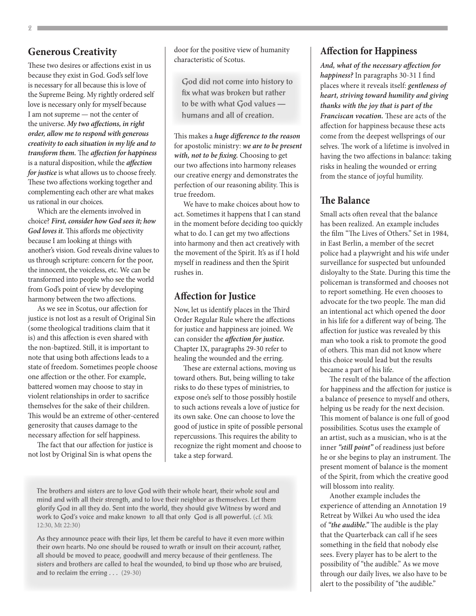#### **Generous Creativity**

These two desires or affections exist in us because they exist in God. God's self love is necessary for all because this is love of the Supreme Being. My rightly ordered self love is necessary only for myself because I am not supreme — not the center of the universe. *My two affections, in right order, allow me to respond with generous creativity to each situation in my life and to transform them.* The *affection for happiness* is a natural disposition, while the *affection for justice* is what allows us to choose freely. These two affections working together and complementing each other are what makes us rational in our choices.

Which are the elements involved in choice? *First, consider how God sees it; how God loves it*. This affords me objectivity because I am looking at things with another's vision. God reveals divine values to us through scripture: concern for the poor, the innocent, the voiceless, etc. We can be transformed into people who see the world from God's point of view by developing harmony between the two affections.

As we see in Scotus, our affection for justice is not lost as a result of Original Sin (some theological traditions claim that it is) and this affection is even shared with the non-baptized. Still, it is important to note that using both affections leads to a state of freedom. Sometimes people choose one affection or the other. For example, battered women may choose to stay in violent relationships in order to sacrifice themselves for the sake of their children. This would be an extreme of other-centered generosity that causes damage to the necessary affection for self happiness.

The fact that our affection for justice is not lost by Original Sin is what opens the

door for the positive view of humanity characteristic of Scotus.

**God did not come into history to fix what was broken but rather to be with what God values humans and all of creation.**

This makes a *huge difference to the reason*  for apostolic ministry: *we are to be present with, not to be fixing.* Choosing to get our two affections into harmony releases our creative energy and demonstrates the perfection of our reasoning ability. This is true freedom.

We have to make choices about how to act. Sometimes it happens that I can stand in the moment before deciding too quickly what to do. I can get my two affections into harmony and then act creatively with the movement of the Spirit. It's as if I hold myself in readiness and then the Spirit rushes in.

#### **Affection for Justice**

Now, let us identify places in the Third Order Regular Rule where the affections for justice and happiness are joined. We can consider the *affection for justice.*  Chapter IX, paragraphs 29-30 refer to healing the wounded and the erring.

These are external actions, moving us toward others. But, being willing to take risks to do these types of ministries, to expose one's self to those possibly hostile to such actions reveals a love of justice for its own sake. One can choose to love the good of justice in spite of possible personal repercussions. This requires the ability to recognize the right moment and choose to take a step forward.

#### **Affection for Happiness**

*And, what of the necessary affection for happiness?* In paragraphs 30-31 I find places where it reveals itself: *gentleness of heart, striving toward humility and giving thanks with the joy that is part of the Franciscan vocation.* These are acts of the affection for happiness because these acts come from the deepest wellsprings of our selves. The work of a lifetime is involved in having the two affections in balance: taking risks in healing the wounded or erring from the stance of joyful humility.

#### **The Balance**

Small acts often reveal that the balance has been realized. An example includes the film "The Lives of Others." Set in 1984, in East Berlin, a member of the secret police had a playwright and his wife under surveillance for suspected but unfounded disloyalty to the State. During this time the policeman is transformed and chooses not to report something. He even chooses to advocate for the two people. The man did an intentional act which opened the door in his life for a different way of being. The affection for justice was revealed by this man who took a risk to promote the good of others. This man did not know where this choice would lead but the results became a part of his life.

The result of the balance of the affection for happiness and the affection for justice is a balance of presence to myself and others, helping us be ready for the next decision. This moment of balance is one full of good possibilities. Scotus uses the example of an artist, such as a musician, who is at the inner *"still point"* of readiness just before he or she begins to play an instrument. The present moment of balance is the moment of the Spirit, from which the creative good will blossom into reality.

Another example includes the experience of attending an Annotation 19 Retreat by Wilkei Au who used the idea of *"the audible."* The audible is the play that the Quarterback can call if he sees something in the field that nobody else sees. Every player has to be alert to the possibility of "the audible." As we move through our daily lives, we also have to be alert to the possibility of "the audible."

**The brothers and sisters are to love God with their whole heart, their whole soul and mind and with all their strength, and to love their neighbor as themselves. Let them glorify God in all they do. Sent into the world, they should give Witness by word and work to God's voice and make known to all that only God is all powerful.** (cf. Mk 12:30, Mt 22:30)

**As they announce peace with their lips, let them be careful to have it even more within their own hearts. No one should be roused to wrath or insult on their account; rather, all should be moved to peace, goodwill and mercy because of their gentleness. The sisters and brothers are called to heal the wounded, to bind up those who are bruised, and to reclaim the erring . . .** (29-30)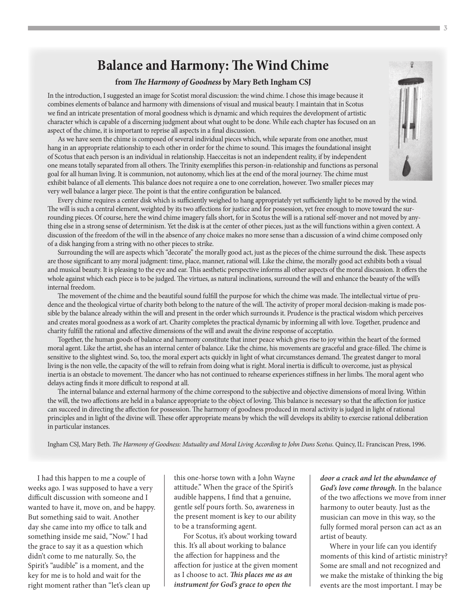### **Balance and Harmony: The Wind Chime**

#### **from** *The Harmony of Goodness* **by Mary Beth Ingham CSJ**

In the introduction, I suggested an image for Scotist moral discussion: the wind chime. I chose this image because it combines elements of balance and harmony with dimensions of visual and musical beauty. I maintain that in Scotus we find an intricate presentation of moral goodness which is dynamic and which requires the development of artistic character which is capable of a discerning judgment about what ought to be done. While each chapter has focused on an aspect of the chime, it is important to reprise all aspects in a final discussion.

As we have seen the chime is composed of several individual pieces which, while separate from one another, must hang in an appropriate relationship to each other in order for the chime to sound. This images the foundational insight of Scotus that each person is an individual in relationship. Haecceitas is not an independent reality, if by independent one means totally separated from all others. The Trinity exemplifies this person-in-relationship and functions as personal goal for all human living. It is communion, not autonomy, which lies at the end of the moral journey. The chime must exhibit balance of all elements. This balance does not require a one to one correlation, however. Two smaller pieces may very well balance a larger piece. The point is that the entire configuration be balanced.



Every chime requires a center disk which is sufficiently weighed to hang appropriately yet sufficiently light to be moved by the wind. The will is such a central element, weighted by its two affections for justice and for possession, yet free enough to move toward the surrounding pieces. Of course, here the wind chime imagery falls short, for in Scotus the will is a rational self-mover and not moved by anything else in a strong sense of determinism. Yet the disk is at the center of other pieces, just as the will functions within a given context. A discussion of the freedom of the will in the absence of any choice makes no more sense than a discussion of a wind chime composed only of a disk hanging from a string with no other pieces to strike.

Surrounding the will are aspects which "decorate" the morally good act, just as the pieces of the chime surround the disk. These aspects are those significant to any moral judgment: time, place, manner, rational will. Like the chime, the morally good act exhibits both a visual and musical beauty. It is pleasing to the eye and ear. This aesthetic perspective informs all other aspects of the moral discussion. It offers the whole against which each piece is to be judged. The virtues, as natural inclinations, surround the will and enhance the beauty of the will's internal freedom.

The movement of the chime and the beautiful sound fulfill the purpose for which the chime was made. The intellectual virtue of prudence and the theological virtue of charity both belong to the nature of the will. The activity of proper moral decision-making is made possible by the balance already within the will and present in the order which surrounds it. Prudence is the practical wisdom which perceives and creates moral goodness as a work of art. Charity completes the practical dynamic by informing all with love. Together, prudence and charity fulfill the rational and affective dimensions of the will and await the divine response of acceptatio.

Together, the human goods of balance and harmony constitute that inner peace which gives rise to joy within the heart of the formed moral agent. Like the artist, she has an internal center of balance. Like the chime, his movements are graceful and grace-filled. The chime is sensitive to the slightest wind. So, too, the moral expert acts quickly in light of what circumstances demand. The greatest danger to moral living is the non velle, the capacity of the will to refrain from doing what is right. Moral inertia is difficult to overcome, just as physical inertia is an obstacle to movement. The dancer who has not continued to rehearse experiences stiffness in her limbs. The moral agent who delays acting finds it more difficult to respond at all.

The internal balance and external harmony of the chime correspond to the subjective and objective dimensions of moral living. Within the will, the two affections are held in a balance appropriate to the object of loving. This balance is necessary so that the affection for justice can succeed in directing the affection for possession. The harmony of goodness produced in moral activity is judged in light of rational principles and in light of the divine will. These offer appropriate means by which the will develops its ability to exercise rational deliberation in particular instances.

Ingham CSJ, Mary Beth. *The Harmony of Goodness: Mutuality and Moral Living According to John Duns Scotus.* Quincy, IL: Franciscan Press, 1996.

I had this happen to me a couple of weeks ago. I was supposed to have a very difficult discussion with someone and I wanted to have it, move on, and be happy. But something said to wait. Another day she came into my office to talk and something inside me said, "Now." I had the grace to say it as a question which didn't come to me naturally. So, the Spirit's "audible" is a moment, and the key for me is to hold and wait for the right moment rather than "let's clean up

this one-horse town with a John Wayne attitude." When the grace of the Spirit's audible happens, I find that a genuine, gentle self pours forth. So, awareness in the present moment is key to our ability to be a transforming agent.

For Scotus, it's about working toward this. It's all about working to balance the affection for happiness and the affection for justice at the given moment as I choose to act. *This places me as an instrument for God's grace to open the* 

*door a crack and let the abundance of God's love come through.* In the balance of the two affections we move from inner harmony to outer beauty. Just as the musician can move in this way, so the fully formed moral person can act as an artist of beauty.

Where in your life can you identify moments of this kind of artistic ministry? Some are small and not recognized and we make the mistake of thinking the big events are the most important. I may be